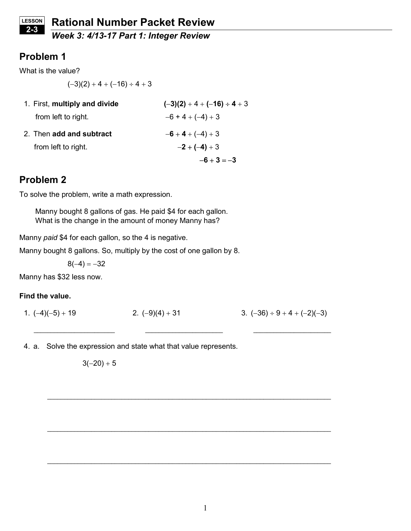## Week 3: 4/13-17 Part 1: Integer Review

## Problem 1

What is the value?

 $(-3)(2) + 4 + (-16) \div 4 + 3$ 

| 1. First, multiply and divide | $(-3)(2) + 4 + (-16) \div 4 + 3$ |
|-------------------------------|----------------------------------|
| from left to right.           | $-6 + 4 + (-4) + 3$              |
| 2. Then add and subtract      | $-6 + 4 + (-4) + 3$              |
| from left to right.           | $-2 + (-4) + 3$                  |
|                               | $-6 + 3 = -3$                    |

# Problem 2

To solve the problem, write a math expression.

Manny bought 8 gallons of gas. He paid \$4 for each gallon. What is the change in the amount of money Manny has?

Manny paid \$4 for each gallon, so the 4 is negative.

Manny bought 8 gallons. So, multiply by the cost of one gallon by 8.

 $8(-4) = -32$ 

Manny has \$32 less now.

### Find the value.

1.  $(-4)(-5) + 19$  2.  $(-9)(4) + 31$  3.  $(-36) \div 9 + 4 + (-2)(-3)$ 

 $\_$  , and the set of the set of the set of the set of the set of the set of the set of the set of the set of the set of the set of the set of the set of the set of the set of the set of the set of the set of the set of th

\_\_\_\_\_\_\_\_\_\_\_\_\_\_\_\_\_\_\_\_\_\_\_\_\_\_\_\_\_\_\_\_\_\_\_\_\_\_\_\_\_\_\_\_\_\_\_\_\_\_\_\_\_\_\_\_\_\_\_\_\_\_\_\_\_\_\_\_\_\_\_\_\_\_\_\_\_\_\_\_\_\_\_\_

\_\_\_\_\_\_\_\_\_\_\_\_\_\_\_\_\_\_\_\_\_\_\_\_\_\_\_\_\_\_\_\_\_\_\_\_\_\_\_\_\_\_\_\_\_\_\_\_\_\_\_\_\_\_\_\_\_\_\_\_\_\_\_\_\_\_\_\_\_\_\_\_\_\_\_\_\_\_\_\_\_\_\_\_

\_\_\_\_\_\_\_\_\_\_\_\_\_\_\_\_\_\_\_\_\_\_\_\_\_\_\_\_\_\_\_\_\_\_\_\_\_\_\_\_\_\_\_\_\_\_\_\_\_\_\_\_\_\_\_\_\_\_\_\_\_\_\_\_\_\_\_\_\_\_\_\_\_\_\_\_\_\_\_\_\_\_\_\_

4. a. Solve the expression and state what that value represents.

 $3(-20) + 5$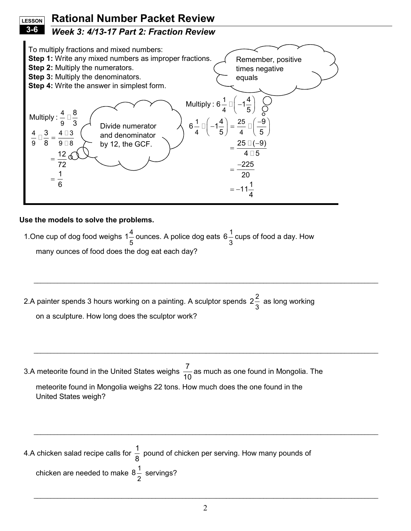#### Rational Number Packet Review **LESSON** 3-6

## Week 3: 4/13-17 Part 2: Fraction Review



### Use the models to solve the problems.

1. One cup of dog food weighs  $1\frac{4}{5}$ 5  $1\frac{4}{5}$  ounces. A police dog eats 6 $\frac{1}{5}$ 3 6 $\frac{1}{\sqrt{\}}$  cups of food a day. How many ounces of food does the dog eat each day?

2.A painter spends 3 hours working on a painting. A sculptor spends 2 $\frac{2}{5}$ 3 2 $\frac{2}{3}$  as long working on a sculpture. How long does the sculptor work?

 $\_$  , and the set of the set of the set of the set of the set of the set of the set of the set of the set of the set of the set of the set of the set of the set of the set of the set of the set of the set of the set of th

 $\_$  , and the set of the set of the set of the set of the set of the set of the set of the set of the set of the set of the set of the set of the set of the set of the set of the set of the set of the set of the set of th

 $\_$  , and the set of the set of the set of the set of the set of the set of the set of the set of the set of the set of the set of the set of the set of the set of the set of the set of the set of the set of the set of th

3.A meteorite found in the United States weighs  $\frac{7}{10}$ 10 as much as one found in Mongolia. The meteorite found in Mongolia weighs 22 tons. How much does the one found in the United States weigh?

4.A chicken salad recipe calls for  $\frac{1}{3}$ 8 pound of chicken per serving. How many pounds of chicken are needed to make  $8\frac{1}{3}$ 2 8 $\frac{1}{2}$  servings?